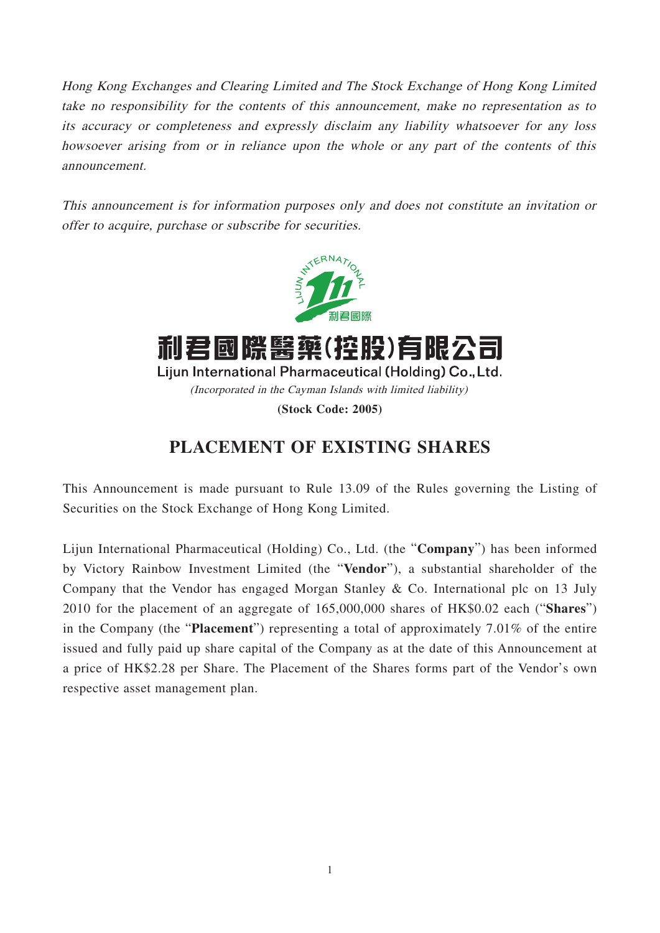Hong Kong Exchanges and Clearing Limited and The Stock Exchange of Hong Kong Limited take no responsibility for the contents of this announcement, make no representation as to its accuracy or completeness and expressly disclaim any liability whatsoever for any loss howsoever arising from or in reliance upon the whole or any part of the contents of this announcement.

This announcement is for information purposes only and does not constitute an invitation or offer to acquire, purchase or subscribe for securities.



## **PLACEMENT OF EXISTING SHARES**

This Announcement is made pursuant to Rule 13.09 of the Rules governing the Listing of Securities on the Stock Exchange of Hong Kong Limited.

Lijun International Pharmaceutical (Holding) Co., Ltd. (the "**Company**") has been informed by Victory Rainbow Investment Limited (the "**Vendor**"), a substantial shareholder of the Company that the Vendor has engaged Morgan Stanley & Co. International plc on 13 July 2010 for the placement of an aggregate of 165,000,000 shares of HK\$0.02 each ("**Shares**") in the Company (the "**Placement**") representing a total of approximately 7.01% of the entire issued and fully paid up share capital of the Company as at the date of this Announcement at a price of HK\$2.28 per Share. The Placement of the Shares forms part of the Vendor's own respective asset management plan.